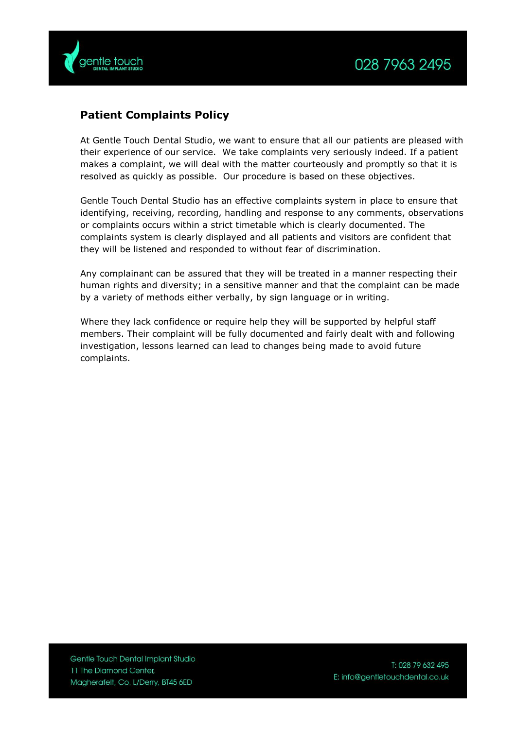

## **Patient Complaints Policy**

At Gentle Touch Dental Studio, we want to ensure that all our patients are pleased with their experience of our service. We take complaints very seriously indeed. If a patient makes a complaint, we will deal with the matter courteously and promptly so that it is resolved as quickly as possible. Our procedure is based on these objectives.

Gentle Touch Dental Studio has an effective complaints system in place to ensure that identifying, receiving, recording, handling and response to any comments, observations or complaints occurs within a strict timetable which is clearly documented. The complaints system is clearly displayed and all patients and visitors are confident that they will be listened and responded to without fear of discrimination.

Any complainant can be assured that they will be treated in a manner respecting their human rights and diversity; in a sensitive manner and that the complaint can be made by a variety of methods either verbally, by sign language or in writing.

Where they lack confidence or require help they will be supported by helpful staff members. Their complaint will be fully documented and fairly dealt with and following investigation, lessons learned can lead to changes being made to avoid future complaints.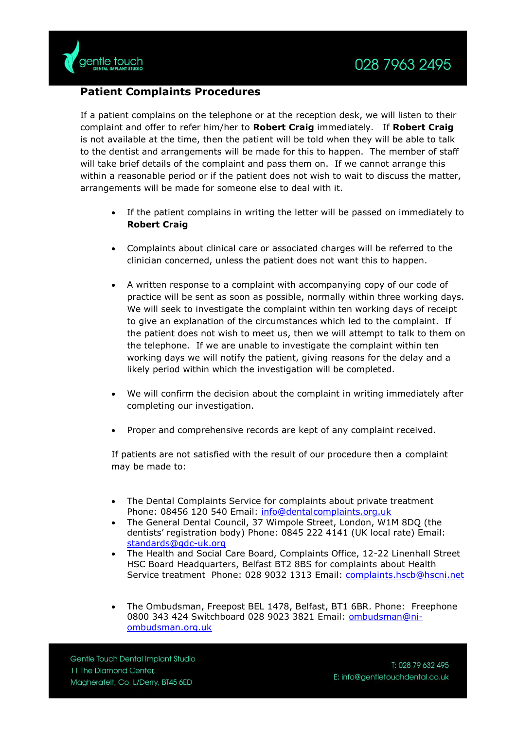## **Patient Complaints Procedures**

If a patient complains on the telephone or at the reception desk, we will listen to their complaint and offer to refer him/her to **Robert Craig** immediately. If **Robert Craig** is not available at the time, then the patient will be told when they will be able to talk to the dentist and arrangements will be made for this to happen. The member of staff will take brief details of the complaint and pass them on. If we cannot arrange this within a reasonable period or if the patient does not wish to wait to discuss the matter, arrangements will be made for someone else to deal with it.

- If the patient complains in writing the letter will be passed on immediately to **Robert Craig**
- Complaints about clinical care or associated charges will be referred to the clinician concerned, unless the patient does not want this to happen.
- A written response to a complaint with accompanying copy of our code of practice will be sent as soon as possible, normally within three working days. We will seek to investigate the complaint within ten working days of receipt to give an explanation of the circumstances which led to the complaint. If the patient does not wish to meet us, then we will attempt to talk to them on the telephone. If we are unable to investigate the complaint within ten working days we will notify the patient, giving reasons for the delay and a likely period within which the investigation will be completed.
- We will confirm the decision about the complaint in writing immediately after completing our investigation.
- Proper and comprehensive records are kept of any complaint received.

If patients are not satisfied with the result of our procedure then a complaint may be made to:

- The Dental Complaints Service for complaints about private treatment Phone: 08456 120 540 Email: [info@dentalcomplaints.org.uk](mailto:info@dentalcomplaints.org.uk)
- The General Dental Council, 37 Wimpole Street, London, W1M 8DQ (the dentists' registration body) Phone: 0845 222 4141 (UK local rate) Email: [standards@gdc-uk.org](mailto:standards@gdc-uk.org)
- The Health and Social Care Board, Complaints Office, 12-22 Linenhall Street HSC Board Headquarters, Belfast BT2 8BS for complaints about Health Service treatment Phone: 028 9032 1313 Email: [complaints.hscb@hscni.net](mailto:complaints.hscb@hscni.net)
- The Ombudsman, Freepost BEL 1478, Belfast, BT1 6BR. Phone: Freephone 0800 343 424 Switchboard 028 9023 3821 Email: [ombudsman@ni](mailto:ombudsman@ni-ombudsman.org.uk)[ombudsman.org.uk](mailto:ombudsman@ni-ombudsman.org.uk)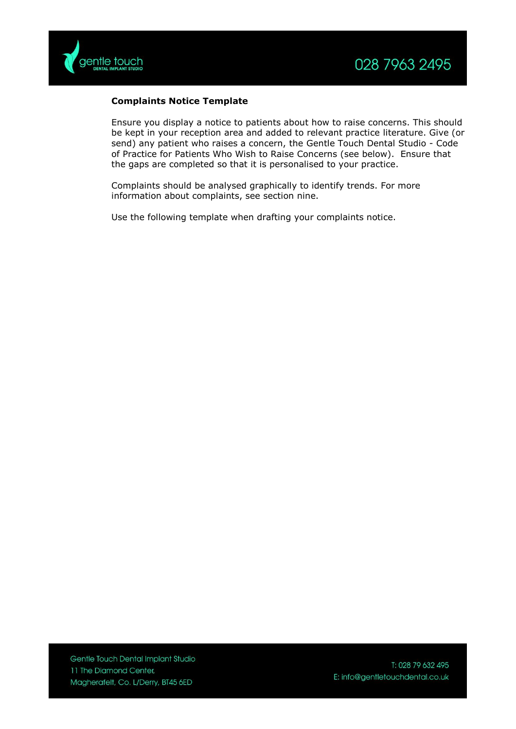

## **Complaints Notice Template**

Ensure you display a notice to patients about how to raise concerns. This should be kept in your reception area and added to relevant practice literature. Give (or send) any patient who raises a concern, the Gentle Touch Dental Studio - Code of Practice for Patients Who Wish to Raise Concerns (see below). Ensure that the gaps are completed so that it is personalised to your practice.

Complaints should be analysed graphically to identify trends. For more information about complaints, see section nine.

Use the following template when drafting your complaints notice.

Gentle Touch Dental Implant Studio 11 The Diamond Center, Magherafelt, Co. L/Derry, BT45 6ED

T: 028 79 632 495 E: info@gentletouchdental.co.uk